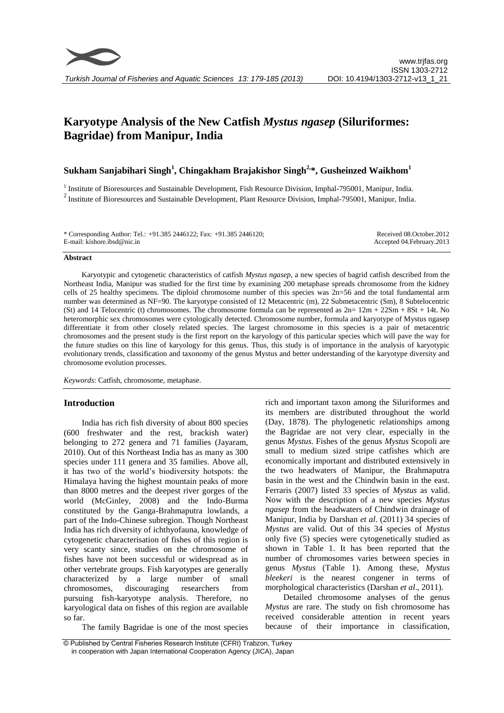

# **Karyotype Analysis of the New Catfish** *Mystus ngasep* **(Siluriformes: Bagridae) from Manipur, India**

# **Sukham Sanjabihari Singh<sup>1</sup> , Chingakham Brajakishor Singh2, \*, Gusheinzed Waikhom<sup>1</sup>**

<sup>1</sup> Institute of Bioresources and Sustainable Development, Fish Resource Division, Imphal-795001, Manipur, India.  $2$  Institute of Bioresources and Sustainable Development, Plant Resource Division, Imphal-795001, Manipur, India.

| * Corresponding Author: Tel.: $+91.385\,2446122$ ; Fax: $+91.385\,2446120$ ; | Received 08.October.2012    |
|------------------------------------------------------------------------------|-----------------------------|
| E-mail: kishore.ibsd@nic.in                                                  | Accepted 04. February. 2013 |
|                                                                              |                             |

#### **Abstract**

Karyotypic and cytogenetic characteristics of catfish *Mystus ngasep*, a new species of bagrid catfish described from the Northeast India, Manipur was studied for the first time by examining 200 metaphase spreads chromosome from the kidney cells of 25 healthy specimens. The diploid chromosome number of this species was 2n=56 and the total fundamental arm number was determined as NF=90. The karyotype consisted of 12 Metacentric (m), 22 Submetacentric (Sm), 8 Subtelocentric (St) and 14 Telocentric (t) chromosomes. The chromosome formula can be represented as  $2n= 12m + 22Sm + 8St + 14t$ . No heteromorphic sex chromosomes were cytologically detected. Chromosome number, formula and karyotype of Mystus ngasep differentiate it from other closely related species. The largest chromosome in this species is a pair of metacentric chromosomes and the present study is the first report on the karyology of this particular species which will pave the way for the future studies on this line of karyology for this genus. Thus, this study is of importance in the analysis of karyotypic evolutionary trends, classification and taxonomy of the genus Mystus and better understanding of the karyotype diversity and chromosome evolution processes.

*Keywords*: Catfish, chromosome, metaphase.

#### **Introduction**

India has rich fish diversity of about 800 species (600 freshwater and the rest, brackish water) belonging to 272 genera and 71 families (Jayaram, 2010). Out of this Northeast India has as many as 300 species under 111 genera and 35 families. Above all, it has two of the world's biodiversity hotspots: the Himalaya having the highest mountain peaks of more than 8000 metres and the deepest river gorges of the world (McGinley, 2008) and the Indo-Burma constituted by the Ganga-Brahmaputra lowlands, a part of the Indo-Chinese subregion. Though Northeast India has rich diversity of ichthyofauna, knowledge of cytogenetic characterisation of fishes of this region is very scanty since, studies on the chromosome of fishes have not been successful or widespread as in other vertebrate groups. Fish karyotypes are generally characterized by a large number of small chromosomes, discouraging researchers from pursuing fish-karyotype analysis. Therefore, no karyological data on fishes of this region are available so far.

The family Bagridae is one of the most species

rich and important taxon among the Siluriformes and its members are distributed throughout the world (Day, 1878). The phylogenetic relationships among the Bagridae are not very clear, especially in the genus *Mystus*. Fishes of the genus *Mystus* Scopoli are small to medium sized stripe catfishes which are economically important and distributed extensively in the two headwaters of Manipur, the Brahmaputra basin in the west and the Chindwin basin in the east. Ferraris (2007) listed 33 species of *Mystus* as valid. Now with the description of a new species *Mystus ngasep* from the headwaters of Chindwin drainage of Manipur, India by Darshan *et al*. (2011) 34 species of *Mystus* are valid. Out of this 34 species of *Mystus* only five (5) species were cytogenetically studied as shown in Table 1. It has been reported that the number of chromosomes varies between species in genus *Mystus* (Table 1). Among these, *Mystus bleekeri* is the nearest congener in terms of morphological characteristics (Darshan *et al*., 2011).

Detailed chromosome analyses of the genus *Mystus* are rare. The study on fish chromosome has received considerable attention in recent years because of their importance in classification,

<sup>©</sup> Published by Central Fisheries Research Institute (CFRI) Trabzon, Turkey in cooperation with Japan International Cooperation Agency (JICA), Japan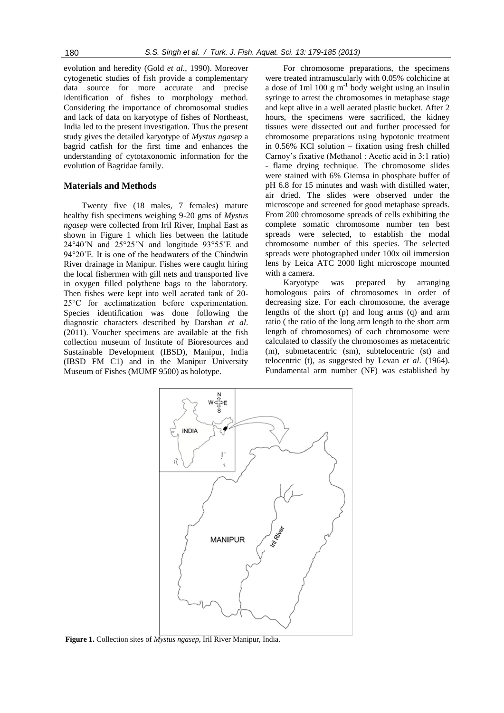evolution and heredity (Gold *et al*., 1990). Moreover cytogenetic studies of fish provide a complementary data source for more accurate and precise identification of fishes to morphology method. Considering the importance of chromosomal studies and lack of data on karyotype of fishes of Northeast, India led to the present investigation. Thus the present study gives the detailed karyotype of *Mystus ngasep* a bagrid catfish for the first time and enhances the understanding of cytotaxonomic information for the evolution of Bagridae family.

## **Materials and Methods**

Twenty five (18 males, 7 females) mature healthy fish specimens weighing 9-20 gms of *Mystus ngasep* were collected from Iril River, Imphal East as shown in Figure 1 which lies between the latitude 24°40´N and 25°25´N and longitude 93°55´E and 94°20´E. It is one of the headwaters of the Chindwin River drainage in Manipur. Fishes were caught hiring the local fishermen with gill nets and transported live in oxygen filled polythene bags to the laboratory. Then fishes were kept into well aerated tank of 20- 25°C for acclimatization before experimentation. Species identification was done following the diagnostic characters described by Darshan *et al*. (2011). Voucher specimens are available at the fish collection museum of Institute of Bioresources and Sustainable Development (IBSD), Manipur, India (IBSD FM C1) and in the Manipur University Museum of Fishes (MUMF 9500) as holotype.

For chromosome preparations, the specimens were treated intramuscularly with 0.05% colchicine at a dose of 1ml 100  $g m^{-1}$  body weight using an insulin syringe to arrest the chromosomes in metaphase stage and kept alive in a well aerated plastic bucket. After 2 hours, the specimens were sacrificed, the kidney tissues were dissected out and further processed for chromosome preparations using hypotonic treatment in 0.56% KCl solution – fixation using fresh chilled Carnoy's fixative (Methanol : Acetic acid in 3:1 ratio) flame drying technique. The chromosome slides were stained with 6% Giemsa in phosphate buffer of pH 6.8 for 15 minutes and wash with distilled water, air dried. The slides were observed under the microscope and screened for good metaphase spreads. From 200 chromosome spreads of cells exhibiting the complete somatic chromosome number ten best spreads were selected, to establish the modal chromosome number of this species. The selected spreads were photographed under 100x oil immersion lens by Leica ATC 2000 light microscope mounted with a camera.

Karyotype was prepared by arranging homologous pairs of chromosomes in order of decreasing size. For each chromosome, the average lengths of the short (p) and long arms (q) and arm ratio ( the ratio of the long arm length to the short arm length of chromosomes) of each chromosome were calculated to classify the chromosomes as metacentric (m), submetacentric (sm), subtelocentric (st) and telocentric (t), as suggested by Levan *et al*. (1964). Fundamental arm number (NF) was established by



**Figure 1.** Collection sites of *Mystus ngasep*, Iril River Manipur, India.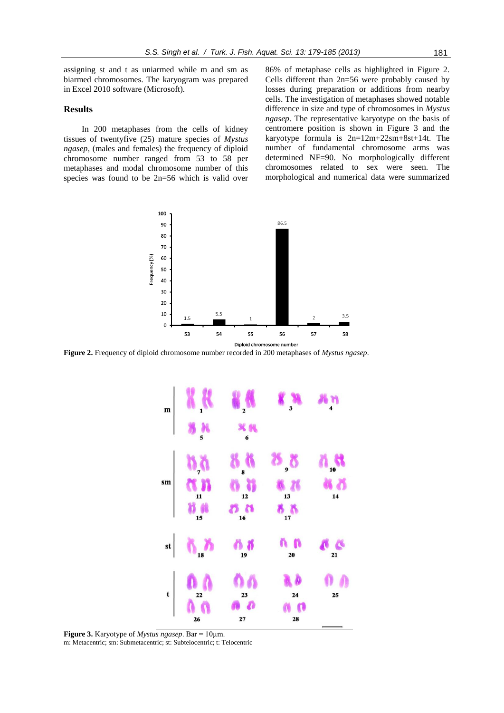assigning st and t as uniarmed while m and sm as biarmed chromosomes. The karyogram was prepared in Excel 2010 software (Microsoft).

## **Results**

In 200 metaphases from the cells of kidney tissues of twentyfive (25) mature species of *Mystus ngasep*, (males and females) the frequency of diploid chromosome number ranged from 53 to 58 per metaphases and modal chromosome number of this species was found to be 2n=56 which is valid over

86% of metaphase cells as highlighted in Figure 2. Cells different than 2n=56 were probably caused by losses during preparation or additions from nearby cells. The investigation of metaphases showed notable difference in size and type of chromosomes in *Mystus ngasep*. The representative karyotype on the basis of centromere position is shown in Figure 3 and the karyotype formula is 2n=12m+22sm+8st+14t. The number of fundamental chromosome arms was determined NF=90. No morphologically different chromosomes related to sex were seen. The morphological and numerical data were summarized



**Figure 2.** Frequency of diploid chromosome number recorded in 200 metaphases of *Mystus ngasep*.



**Figure 3.** Karyotype of *Mystus ngasep*. Bar = 10µm. m: Metacentric; sm: Submetacentric; st: Subtelocentric; t: Telocentric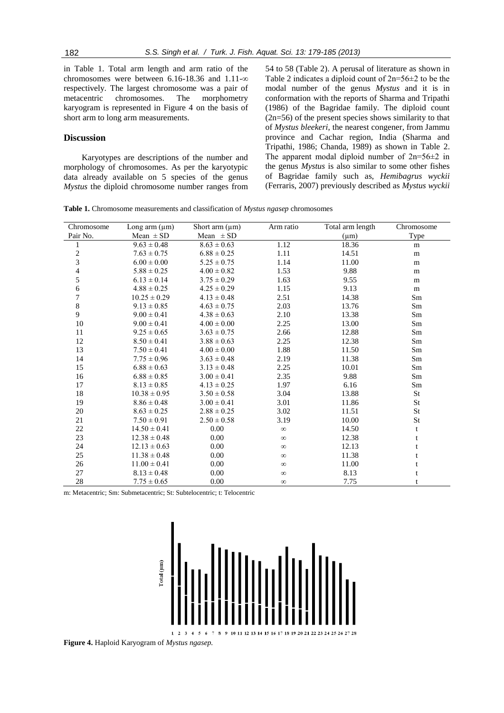in Table 1. Total arm length and arm ratio of the chromosomes were between 6.16-18.36 and 1.11-∞ respectively. The largest chromosome was a pair of metacentric chromosomes. The morphometry karyogram is represented in Figure 4 on the basis of short arm to long arm measurements.

### **Discussion**

Karyotypes are descriptions of the number and morphology of chromosomes. As per the karyotypic data already available on 5 species of the genus *Mystus* the diploid chromosome number ranges from

54 to 58 (Table 2). A perusal of literature as shown in Table 2 indicates a diploid count of 2n=56±2 to be the modal number of the genus *Mystus* and it is in conformation with the reports of Sharma and Tripathi (1986) of the Bagridae family. The diploid count (2n=56) of the present species shows similarity to that of *Mystus bleekeri*, the nearest congener, from Jammu province and Cachar region, India (Sharma and Tripathi, 1986; Chanda, 1989) as shown in Table 2. The apparent modal diploid number of  $2n=56\pm2$  in the genus *Mystus* is also similar to some other fishes of Bagridae family such as, *Hemibagrus wyckii* (Ferraris, 2007) previously described as *Mystus wyckii*

**Table 1.** Chromosome measurements and classification of *Mystus ngasep* chromosomes

| Chromosome               | Long arm $(\mu m)$ | Short arm $(\mu m)$ | Arm ratio | Total arm length | Chromosome |
|--------------------------|--------------------|---------------------|-----------|------------------|------------|
| Pair No.                 | Mean $\pm$ SD      | Mean $\pm$ SD       |           | $(\mu m)$        | Type       |
| 1                        | $9.63 \pm 0.48$    | $8.63 \pm 0.63$     | 1.12      | 18.36            | m          |
|                          | $7.63 \pm 0.75$    | $6.88 \pm 0.25$     | 1.11      | 14.51            | m          |
| $\frac{2}{3}$            | $6.00 \pm 0.00$    | $5.25 \pm 0.75$     | 1.14      | 11.00            | m          |
| $\overline{\mathcal{A}}$ | $5.88 \pm 0.25$    | $4.00 \pm 0.82$     | 1.53      | 9.88             | m          |
| 5                        | $6.13 \pm 0.14$    | $3.75 \pm 0.29$     | 1.63      | 9.55             | m          |
| $\sqrt{6}$               | $4.88 \pm 0.25$    | $4.25 \pm 0.29$     | 1.15      | 9.13             | m          |
| $\boldsymbol{7}$         | $10.25 \pm 0.29$   | $4.13 \pm 0.48$     | 2.51      | 14.38            | Sm         |
| $\,8\,$                  | $9.13 \pm 0.85$    | $4.63 \pm 0.75$     | 2.03      | 13.76            | Sm         |
| 9                        | $9.00 \pm 0.41$    | $4.38 \pm 0.63$     | 2.10      | 13.38            | Sm         |
| 10                       | $9.00 \pm 0.41$    | $4.00 \pm 0.00$     | 2.25      | 13.00            | Sm         |
| 11                       | $9.25 \pm 0.65$    | $3.63 \pm 0.75$     | 2.66      | 12.88            | Sm         |
| 12                       | $8.50 \pm 0.41$    | $3.88 \pm 0.63$     | 2.25      | 12.38            | Sm         |
| 13                       | $7.50 \pm 0.41$    | $4.00 \pm 0.00$     | 1.88      | 11.50            | Sm         |
| 14                       | $7.75 \pm 0.96$    | $3.63 \pm 0.48$     | 2.19      | 11.38            | Sm         |
| 15                       | $6.88 \pm 0.63$    | $3.13 \pm 0.48$     | 2.25      | 10.01            | Sm         |
| 16                       | $6.88 \pm 0.85$    | $3.00 \pm 0.41$     | 2.35      | 9.88             | Sm         |
| 17                       | $8.13 \pm 0.85$    | $4.13 \pm 0.25$     | 1.97      | 6.16             | Sm         |
| 18                       | $10.38 \pm 0.95$   | $3.50 \pm 0.58$     | 3.04      | 13.88            | <b>St</b>  |
| 19                       | $8.86 \pm 0.48$    | $3.00 \pm 0.41$     | 3.01      | 11.86            | <b>St</b>  |
| $20\,$                   | $8.63 \pm 0.25$    | $2.88 \pm 0.25$     | 3.02      | 11.51            | St         |
| 21                       | $7.50 \pm 0.91$    | $2.50 \pm 0.58$     | 3.19      | 10.00            | St         |
| $22\,$                   | $14.50 \pm 0.41$   | 0.00                | $\infty$  | 14.50            | t          |
| 23                       | $12.38 \pm 0.48$   | 0.00                | $\infty$  | 12.38            | t          |
| 24                       | $12.13 \pm 0.63$   | 0.00                | $\infty$  | 12.13            | t          |
| 25                       | $11.38 \pm 0.48$   | 0.00                | $\infty$  | 11.38            | t          |
| 26                       | $11.00 \pm 0.41$   | 0.00                | $\infty$  | 11.00            | t          |
| 27                       | $8.13 \pm 0.48$    | 0.00                | $\infty$  | 8.13             | t          |
| $28\,$                   | $7.75 \pm 0.65$    | 0.00                | $\infty$  | 7.75             | t          |

m: Metacentric; Sm: Submetacentric; St: Subtelocentric; t: Telocentric



**Figure 4.** Haploid Karyogram of *Mystus ngasep.*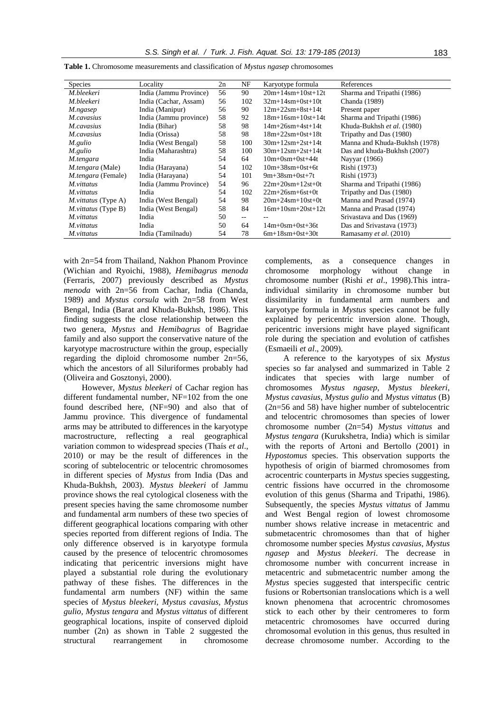| <b>Species</b>             | Locality               | $_{2n}$ | NF    | Karyotype formula         | References                    |
|----------------------------|------------------------|---------|-------|---------------------------|-------------------------------|
| M.bleekeri                 | India (Jammu Province) | 56      | 90    | $20m+14sm+10st+12t$       | Sharma and Tripathi (1986)    |
| M.bleekeri                 | India (Cachar, Assam)  | 56      | 102   | $32m+14sm+0st+10t$        | Chanda (1989)                 |
| M.ngasep                   | India (Manipur)        | 56      | 90    | $12m+22sm+8st+14t$        | Present paper                 |
| <i>M.cavasius</i>          | India (Jammu province) | 58      | 92    | $18m+16sm+10st+14t$       | Sharma and Tripathi (1986)    |
| M.cavasius                 | India (Bihar)          | 58      | 98    | $14m+26sm+4st+14t$        | Khuda-Bukhsh et al. (1980)    |
| <i>M.cavasius</i>          | India (Orissa)         | 58      | 98    | $18m+22sm+0st+18t$        | Tripathy and Das (1980)       |
| M.gulio                    | India (West Bengal)    | 58      | 100   | $30m+12sm+2st+14t$        | Manna and Khuda-Bukhsh (1978) |
| M.gulio                    | India (Maharashtra)    | 58      | 100   | $30m+12sm+2st+14t$        | Das and khuda-Bukhsh (2007)   |
| M.tengara                  | India                  | 54      | 64    | $10m+0$ sm $+0$ st $+44t$ | Nayyar (1966)                 |
| <i>M.tengara</i> (Male)    | India (Harayana)       | 54      | 102   | $10m + 38sm + 0st + 6t$   | Rishi (1973)                  |
| <i>M.tengara</i> (Female)  | India (Harayana)       | 54      | 101   | $9m+38sm+0st+7t$          | Rishi (1973)                  |
| <i>M.vittatus</i>          | India (Jammu Province) | 54      | 96    | $22m+20sm+12st+0t$        | Sharma and Tripathi (1986)    |
| <i>M.vittatus</i>          | India                  | 54      | 102   | $22m+26sm+6st+0t$         | Tripathy and Das (1980)       |
| <i>M.vittatus</i> (Type A) | India (West Bengal)    | 54      | 98    | $20m+24sm+10st+0t$        | Manna and Prasad (1974)       |
| <i>M.vittatus</i> (Type B) | India (West Bengal)    | 58      | 84    | $16m+10sm+20st+12t$       | Manna and Prasad (1974)       |
| M.vittatus                 | India                  | 50      | $- -$ | --                        | Srivastava and Das (1969)     |
| M.vittatus                 | India                  | 50      | 64    | $14m+0$ sm $+0$ st $+36t$ | Das and Srivastava (1973)     |
| M.vittatus                 | India (Tamilnadu)      | 54      | 78    | $6m+18sm+0st+30t$         | Ramasamy et al. (2010)        |
|                            |                        |         |       |                           |                               |

**Table 1.** Chromosome measurements and classification of *Mystus ngasep* chromosomes

with 2n=54 from Thailand, Nakhon Phanom Province (Wichian and Ryoichi, 1988), *Hemibagrus menoda* (Ferraris, 2007) previously described as *Mystus menoda* with 2n=56 from Cachar, India (Chanda, 1989) and *Mystus corsula* with 2n=58 from West Bengal, India (Barat and Khuda-Bukhsh, 1986). This finding suggests the close relationship between the two genera, *Mystus* and *Hemibagrus* of Bagridae family and also support the conservative nature of the karyotype macrostructure within the group, especially regarding the diploid chromosome number 2n=56, which the ancestors of all Siluriformes probably had (Oliveira and Gosztonyi, 2000).

However, *Mystus bleekeri* of Cachar region has different fundamental number. NF=102 from the one found described here, (NF=90) and also that of Jammu province. This divergence of fundamental arms may be attributed to differences in the karyotype macrostructure, reflecting a real geographical variation common to widespread species (Thaís *et al*., 2010) or may be the result of differences in the scoring of subtelocentric or telocentric chromosomes in different species of *Mystus* from India (Das and Khuda-Bukhsh, 2003). *Mystus bleekeri* of Jammu province shows the real cytological closeness with the present species having the same chromosome number and fundamental arm numbers of these two species of different geographical locations comparing with other species reported from different regions of India. The only difference observed is in karyotype formula caused by the presence of telocentric chromosomes indicating that pericentric inversions might have played a substantial role during the evolutionary pathway of these fishes. The differences in the fundamental arm numbers (NF) within the same species of *Mystus bleekeri, Mystus cavasius, Mystus gulio, Mystus tengara* and *Mystus vittatus* of different geographical locations, inspite of conserved diploid number (2n) as shown in Table 2 suggested the structural rearrangement in chromosome

complements, as a consequence changes in chromosome morphology without change in chromosome number (Rishi *et al*., 1998).This intraindividual similarity in chromosome number but dissimilarity in fundamental arm numbers and karyotype formula in *Mystus* species cannot be fully explained by pericentric inversion alone. Though, pericentric inversions might have played significant role during the speciation and evolution of catfishes (Esmaeili *et al*., 2009).

A reference to the karyotypes of six *Mystus* species so far analysed and summarized in Table 2 indicates that species with large number of chromosomes *Mystus ngasep*, *Mystus bleekeri*, *Mystus cavasius*, *Mystus gulio* and *Mystus vittatus* (B) (2n=56 and 58) have higher number of subtelocentric and telocentric chromosomes than species of lower chromosome number (2n=54) *Mystus vittatus* and *Mystus tengara* (Kurukshetra, India) which is similar with the reports of Artoni and Bertollo (2001) in *Hypostomus* species. This observation supports the hypothesis of origin of biarmed chromosomes from acrocentric counterparts in *Mystus* species suggesting, centric fissions have occurred in the chromosome evolution of this genus (Sharma and Tripathi, 1986). Subsequently, the species *Mystus vittatus* of Jammu and West Bengal region of lowest chromosome number shows relative increase in metacentric and submetacentric chromosomes than that of higher chromosome number species *Mystus cavasius*, *Mystus ngasep* and *Mystus bleekeri*. The decrease in chromosome number with concurrent increase in metacentric and submetacentric number among the *Mystus* species suggested that interspecific centric fusions or Robertsonian translocations which is a well known phenomena that acrocentric chromosomes stick to each other by their centromeres to form metacentric chromosomes have occurred during chromosomal evolution in this genus, thus resulted in decrease chromosome number. According to the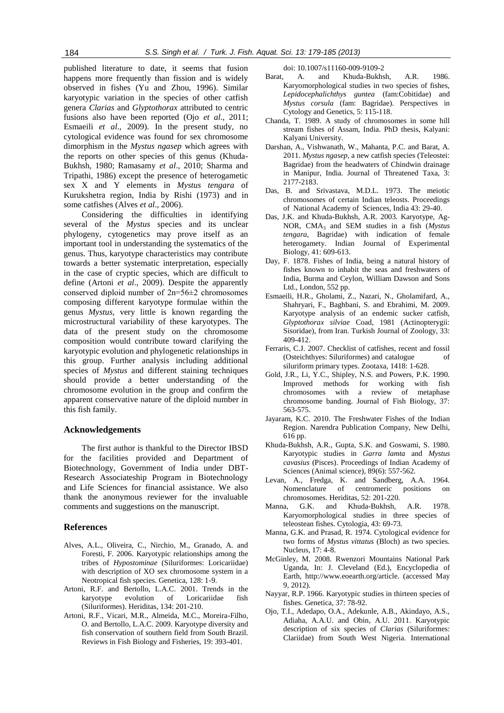published literature to date, it seems that fusion happens more frequently than fission and is widely observed in fishes (Yu and Zhou, 1996). Similar karyotypic variation in the species of other catfish genera *Clarias* and *Glyptothorax* attributed to centric fusions also have been reported (Ojo *et al*., 2011; Esmaeili *et al*., 2009). In the present study, no cytological evidence was found for sex chromosome dimorphism in the *Mystus ngasep* which agrees with the reports on other species of this genus (Khuda-Bukhsh, 1980; Ramasamy *et al*., 2010; Sharma and Tripathi, 1986) except the presence of heterogametic sex X and Y elements in *Mystus tengara* of Kurukshetra region, India by Rishi (1973) and in some catfishes (Alves *et al*., 2006).

Considering the difficulties in identifying several of the *Mystus* species and its unclear phylogeny, cytogenetics may prove itself as an important tool in understanding the systematics of the genus. Thus, karyotype characteristics may contribute towards a better systematic interpretation, especially in the case of cryptic species, which are difficult to define (Artoni *et al*., 2009). Despite the apparently conserved diploid number of 2n=56±2 chromosomes composing different karyotype formulae within the genus *Mystus*, very little is known regarding the microstructural variability of these karyotypes. The data of the present study on the chromosome composition would contribute toward clarifying the karyotypic evolution and phylogenetic relationships in this group. Further analysis including additional species of *Mystus* and different staining techniques should provide a better understanding of the chromosome evolution in the group and confirm the apparent conservative nature of the diploid number in this fish family.

#### **Acknowledgements**

The first author is thankful to the Director IBSD for the facilities provided and Department of Biotechnology, Government of India under DBT-Research Associateship Program in Biotechnology and Life Sciences for financial assistance. We also thank the anonymous reviewer for the invaluable comments and suggestions on the manuscript.

#### **References**

- Alves, A.L., Oliveira, C., Nirchio, M., Granado, A. and Foresti, F. 2006. Karyotypic relationships among the tribes of *Hypostominae* (Siluriformes: Loricariidae) with description of XO sex chromosome system in a Neotropical fish species. Genetica, 128: 1-9.
- Artoni, R.F. and Bertollo, L.A.C. 2001. Trends in the karyotype evolution of Loricariidae fish (Siluriformes). Heriditas, 134: 201-210.
- Artoni, R.F., Vicari, M.R., Almeida, M.C., Moreira-Filho, O. and Bertollo, L.A.C. 2009. Karyotype diversity and fish conservation of southern field from South Brazil. Reviews in Fish Biology and Fisheries, 19: 393-401.

doi: 10.1007/s11160-009-9109-2

- Barat, A. and Khuda-Bukhsh, A.R. 1986. Karyomorphological studies in two species of fishes, *Lepidocephalichthys guntea* (fam:Cobitidae) and *Mystus corsula* (fam: Bagridae). Perspectives in Cytology and Genetics, 5: 115-118.
- Chanda, T. 1989. A study of chromosomes in some hill stream fishes of Assam, India. PhD thesis, Kalyani: Kalyani University.
- Darshan, A., Vishwanath, W., Mahanta, P.C. and Barat, A. 2011. *Mystus ngasep*, a new catfish species (Teleostei: Bagridae) from the headwaters of Chindwin drainage in Manipur, India. Journal of Threatened Taxa, 3: 2177-2183.
- Das, B. and Srivastava, M.D.L. 1973. The meiotic chromosomes of certain Indian teleosts. Proceedings of National Academy of Sciences, India 43: 29-40.
- Das, J.K. and Khuda-Bukhsh, A.R. 2003. Karyotype, Ag-NOR, CMA<sub>3</sub> and SEM studies in a fish (*Mystus tengara*, Bagridae) with indication of female heterogamety. Indian Journal of Experimental Biology, 41: 609-613.
- Day, F. 1878. Fishes of India, being a natural history of fishes known to inhabit the seas and freshwaters of India, Burma and Ceylon, William Dawson and Sons Ltd., London, 552 pp.
- Esmaeili, H.R., Gholami, Z., Nazari, N., Gholamifard, A., Shahryari, F., Baghbani, S. and Ebrahimi, M. 2009. Karyotype analysis of an endemic sucker catfish, *Glyptothorax silviae* Coad, 1981 (Actinopterygii: Sisoridae), from Iran. Turkish Journal of Zoology, 33: 409-412.
- Ferraris, C.J. 2007. Checklist of catfishes, recent and fossil (Osteichthyes: Siluriformes) and catalogue of siluriform primary types. Zootaxa, 1418: 1-628.
- Gold, J.R., Li, Y.C., Shipley, N.S. and Powers, P.K. 1990. Improved methods for working with fish chromosomes with a review of metaphase chromosome banding. Journal of Fish Biology, 37: 563-575.
- Jayaram, K.C. 2010. The Freshwater Fishes of the Indian Region. Narendra Publication Company, New Delhi, 616 pp.
- Khuda-Bukhsh, A.R., Gupta, S.K. and Goswami, S. 1980. Karyotypic studies in *Garra lamta* and *Mystus cavasius* (Pisces). Proceedings of Indian Academy of Sciences (Animal science), 89(6): 557-562.
- Levan, A., Fredga, K. and Sandberg, A.A. 1964. Nomenclature of centromeric positions on chromosomes. Heriditas, 52: 201-220.
- Manna, G.K. and Khuda-Bukhsh, A.R. 1978. Karyomorphological studies in three species of teleostean fishes. Cytologia, 43: 69-73.
- Manna, G.K. and Prasad, R. 1974. Cytological evidence for two forms of *Mystus vittatus* (Bloch) as two species. Nucleus, 17: 4-8.
- McGinley, M. 2008. Rwenzori Mountains National Park Uganda, In: J. Cleveland (Ed.), Encyclopedia of Earth, http://www.eoearth.org/article. (accessed May 9, 2012).
- Nayyar, R.P. 1966. Karyotypic studies in thirteen species of fishes. Genetica, 37: 78-92.
- Ojo, T.I., Adedapo, O.A., Adekunle, A.B., Akindayo, A.S., Adiaha, A.A.U. and Obin, A.U. 2011. Karyotypic description of six species of *Clarias* (Siluriformes: Clariidae) from South West Nigeria. International